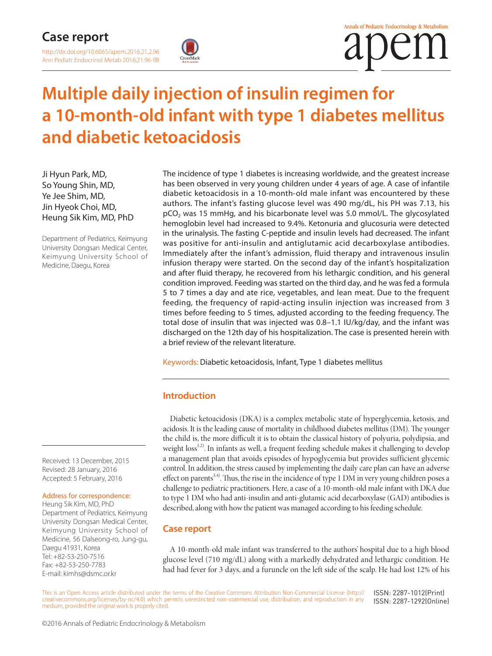

# **Multiple daily injection of insulin regimen for a 10-month-old infant with type 1 diabetes mellitus and diabetic ketoacidosis**

Ji Hyun Park, MD, So Young Shin, MD, Ye Jee Shim, MD, Jin Hyeok Choi, MD, Heung Sik Kim, MD, PhD

Department of Pediatrics, Keimyung University Dongsan Medical Center, Keimyung University School of Medicine, Daegu, Korea

The incidence of type 1 diabetes is increasing worldwide, and the greatest increase has been observed in very young children under 4 years of age. A case of infantile diabetic ketoacidosis in a 10-month-old male infant was encountered by these authors. The infant's fasting glucose level was 490 mg/dL, his PH was 7.13, his pCO<sub>2</sub> was 15 mmHg, and his bicarbonate level was 5.0 mmol/L. The glycosylated hemoglobin level had increased to 9.4%. Ketonuria and glucosuria were detected in the urinalysis. The fasting C-peptide and insulin levels had decreased. The infant was positive for anti-insulin and antiglutamic acid decarboxylase antibodies. Immediately after the infant's admission, fluid therapy and intravenous insulin infusion therapy were started. On the second day of the infant's hospitalization and after fluid therapy, he recovered from his lethargic condition, and his general condition improved. Feeding was started on the third day, and he was fed a formula 5 to 7 times a day and ate rice, vegetables, and lean meat. Due to the frequent feeding, the frequency of rapid-acting insulin injection was increased from 3 times before feeding to 5 times, adjusted according to the feeding frequency. The total dose of insulin that was injected was 0.8–1.1 IU/kg/day, and the infant was discharged on the 12th day of his hospitalization. The case is presented herein with a brief review of the relevant literature.

Keywords: Diabetic ketoacidosis, Infant, Type 1 diabetes mellitus

# **Introduction**

Diabetic ketoacidosis (DKA) is a complex metabolic state of hyperglycemia, ketosis, and acidosis. It is the leading cause of mortality in childhood diabetes mellitus (DM). The younger the child is, the more difficult it is to obtain the classical history of polyuria, polydipsia, and weight loss<sup>1,2)</sup>. In infants as well, a frequent feeding schedule makes it challenging to develop a management plan that avoids episodes of hypoglycemia but provides sufficient glycemic control. In addition, the stress caused by implementing the daily care plan can have an adverse effect on parents<sup>3,4)</sup>. Thus, the rise in the incidence of type 1 DM in very young children poses a challenge to pediatric practitioners. Here, a case of a 10-month-old male infant with DKA due to type 1 DM who had anti-insulin and anti-glutamic acid decarboxylase (GAD) antibodies is described, along with how the patient was managed according to his feeding schedule.

# **Case report**

A 10-month-old male infant was transferred to the authors' hospital due to a high blood glucose level (710 mg/dL) along with a markedly dehydrated and lethargic condition. He had had fever for 3 days, and a furuncle on the left side of the scalp. He had lost 12% of his

This is an Open Access article distributed under the terms of the Creative Commons Attribution Non-Commercial License (http:// creativecommons.org/licenses/by-nc/4.0) which permits unrestricted non-commercial use, distribution, and reproduction in any medium, provided the original work is properly cited. ISSN: 2287-1012(Print) ISSN: 2287-1292(Online)

Received: 13 December, 2015 Revised: 28 January, 2016 Accepted: 5 February, 2016

#### Address for correspondence:

Heung Sik Kim, MD, PhD Department of Pediatrics, Keimyung University Dongsan Medical Center, Keimyung University School of Medicine, 56 Dalseong-ro, Jung-gu, Daegu 41931, Korea Tel: +82-53-250-7516 Fax: +82-53-250-7783 E-mail: kimhs@dsmc.or.kr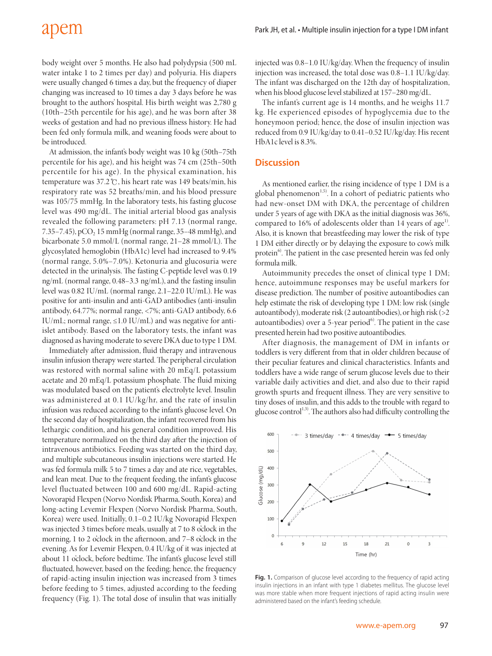# apem

body weight over 5 months. He also had polydypsia (500 mL water intake 1 to 2 times per day) and polyuria. His diapers were usually changed 6 times a day, but the frequency of diaper changing was increased to 10 times a day 3 days before he was brought to the authors' hospital. His birth weight was 2,780 g (10th–25th percentile for his age), and he was born after 38 weeks of gestation and had no previous illness history. He had been fed only formula milk, and weaning foods were about to be introduced.

At admission, the infant's body weight was 10 kg (50th–75th percentile for his age), and his height was 74 cm (25th–50th percentile for his age). In the physical examination, his temperature was 37.2℃, his heart rate was 149 beats/min, his respiratory rate was 52 breaths/min, and his blood pressure was 105/75 mmHg. In the laboratory tests, his fasting glucose level was 490 mg/dL. The initial arterial blood gas analysis revealed the following parameters: pH 7.13 (normal range, 7.35–7.45), pCO<sub>2</sub> 15 mmHg (normal range, 35–48 mmHg), and bicarbonate 5.0 mmol/L (normal range, 21–28 mmol/L). The glycosylated hemoglobin (HbA1c) level had increased to 9.4% (normal range, 5.0%–7.0%). Ketonuria and glucosuria were detected in the urinalysis. The fasting C-peptide level was 0.19 ng/mL (normal range, 0.48–3.3 ng/mL), and the fasting insulin level was 0.82 IU/mL (normal range, 2.1–22.0 IU/mL). He was positive for anti-insulin and anti-GAD antibodies (anti-insulin antibody, 64.77%; normal range, <7%; anti-GAD antibody, 6.6 IU/mL; normal range,  $\leq$ 1.0 IU/mL) and was negative for antiislet antibody. Based on the laboratory tests, the infant was diagnosed as having moderate to severe DKA due to type 1 DM.

Immediately after admission, fluid therapy and intravenous insulin infusion therapy were started. The peripheral circulation was restored with normal saline with 20 mEq/L potassium acetate and 20 mEq/L potassium phosphate. The fluid mixing was modulated based on the patient's electrolyte level. Insulin was administered at 0.1 IU/kg/hr, and the rate of insulin infusion was reduced according to the infant's glucose level. On the second day of hospitalization, the infant recovered from his lethargic condition, and his general condition improved. His temperature normalized on the third day after the injection of intravenous antibiotics. Feeding was started on the third day, and multiple subcutaneous insulin injections were started. He was fed formula milk 5 to 7 times a day and ate rice, vegetables, and lean meat. Due to the frequent feeding, the infant's glucose level fluctuated between 100 and 600 mg/dL. Rapid-acting Novorapid Flexpen (Norvo Nordisk Pharma, South, Korea) and long-acting Levemir Flexpen (Norvo Nordisk Pharma, South, Korea) were used. Initially, 0.1–0.2 IU/kg Novorapid Flexpen was injected 3 times before meals, usually at 7 to 8 o'clock in the morning, 1 to 2 o'clock in the afternoon, and 7–8 o'clock in the evening. As for Levemir Flexpen, 0.4 IU/kg of it was injected at about 11 o'clock, before bedtime. The infant's glucose level still fluctuated, however, based on the feeding; hence, the frequency of rapid-acting insulin injection was increased from 3 times before feeding to 5 times, adjusted according to the feeding frequency (Fig. 1). The total dose of insulin that was initially

injected was 0.8–1.0 IU/kg/day. When the frequency of insulin injection was increased, the total dose was 0.8–1.1 IU/kg/day. The infant was discharged on the 12th day of hospitalization, when his blood glucose level stabilized at 157–280 mg/dL.

The infant's current age is 14 months, and he weighs 11.7 kg. He experienced episodes of hypoglycemia due to the honeymoon period; hence, the dose of insulin injection was reduced from 0.9 IU/kg/day to 0.41–0.52 IU/kg/day. His recent HbA1c level is 8.3%.

#### **Discussion**

As mentioned earlier, the rising incidence of type 1 DM is a global phenomenon $1,5$ ). In a cohort of pediatric patients who had new-onset DM with DKA, the percentage of children under 5 years of age with DKA as the initial diagnosis was 36%, compared to 16% of adolescents older than 14 years of age<sup>1)</sup>. Also, it is known that breastfeeding may lower the risk of type 1 DM either directly or by delaying the exposure to cow's milk protein<sup>6)</sup>. The patient in the case presented herein was fed only formula milk.

Autoimmunity precedes the onset of clinical type 1 DM; hence, autoimmune responses may be useful markers for disease prediction. The number of positive autoantibodies can help estimate the risk of developing type 1 DM: low risk (single autoantibody), moderate risk (2 autoantibodies), or high risk (>2 autoantibodies) over a 5-year period $6$ . The patient in the case presented herein had two positive autoantibodies.

After diagnosis, the management of DM in infants or toddlers is very different from that in older children because of their peculiar features and clinical characteristics. Infants and toddlers have a wide range of serum glucose levels due to their variable daily activities and diet, and also due to their rapid growth spurts and frequent illness. They are very sensitive to tiny doses of insulin, and this adds to the trouble with regard to glucose control<sup>1,3)</sup>. The authors also had difficulty controlling the



Fig. 1. Comparison of glucose level according to the frequency of rapid acting insulin injections in an infant with type 1 diabetes mellitus. The glucose level was more stable when more frequent injections of rapid acting insulin were administered based on the infant's feeding schedule.